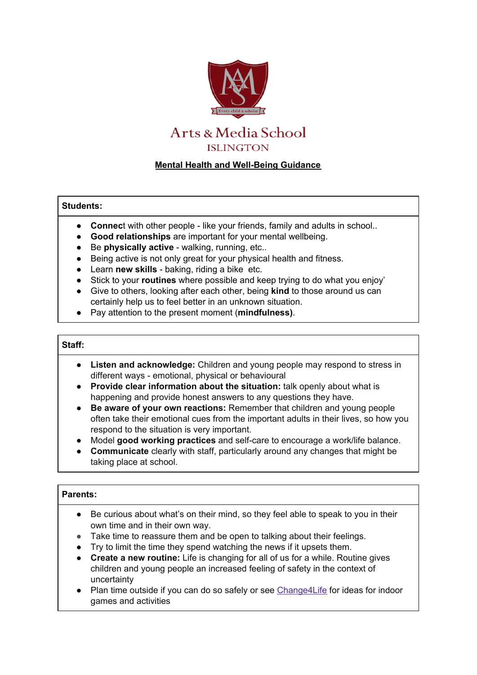

# **Mental Health and Well-Being Guidance**

## **Students:**

- **Connec**t with other people like your friends, family and adults in school..
- **Good relationships** are important for your mental wellbeing.
- Be **physically active** walking, running, etc..
- Being active is not only great for your physical health and fitness.
- Learn **new skills** baking, riding a bike etc.
- Stick to your **routines** where possible and keep trying to do what you enjoy'
- Give to others, looking after each other, being **kind** to those around us can certainly help us to feel better in an unknown situation.
- Pay attention to the present moment (**mindfulness)**.

#### **Staff:**

- **Listen and acknowledge:** Children and young people may respond to stress in different ways - emotional, physical or behavioural
- **Provide clear information about the situation:** talk openly about what is happening and provide honest answers to any questions they have.
- **Be aware of your own reactions:** Remember that children and young people often take their emotional cues from the important adults in their lives, so how you respond to the situation is very important.
- Model **good working practices** and self-care to encourage a work/life balance.
- **Communicate** clearly with staff, particularly around any changes that might be taking place at school.

# **Parents:**

- Be curious about what's on their mind, so they feel able to speak to you in their own time and in their own way.
- Take time to reassure them and be open to talking about their feelings.
- Try to limit the time they spend watching the news if it upsets them.
- **Create a new routine:** Life is changing for all of us for a while. Routine gives children and young people an increased feeling of safety in the context of uncertainty
- Plan time outside if you can do so safely or see [Change4Life](https://www.nhs.uk/change4life) for ideas for indoor games and activities